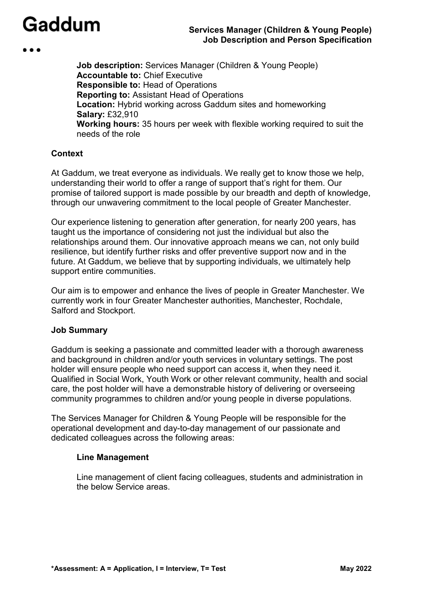**Job description:** Services Manager (Children & Young People) **Accountable to:** Chief Executive **Responsible to:** Head of Operations **Reporting to:** Assistant Head of Operations **Location:** Hybrid working across Gaddum sites and homeworking **Salary:** £32,910 **Working hours:** 35 hours per week with flexible working required to suit the needs of the role

#### **Context**

At Gaddum, we treat everyone as individuals. We really get to know those we help, understanding their world to offer a range of support that's right for them. Our promise of tailored support is made possible by our breadth and depth of knowledge, through our unwavering commitment to the local people of Greater Manchester.

Our experience listening to generation after generation, for nearly 200 years, has taught us the importance of considering not just the individual but also the relationships around them. Our innovative approach means we can, not only build resilience, but identify further risks and offer preventive support now and in the future. At Gaddum, we believe that by supporting individuals, we ultimately help support entire communities.

Our aim is to empower and enhance the lives of people in Greater Manchester. We currently work in four Greater Manchester authorities, Manchester, Rochdale, Salford and Stockport.

#### **Job Summary**

Gaddum is seeking a passionate and committed leader with a thorough awareness and background in children and/or youth services in voluntary settings. The post holder will ensure people who need support can access it, when they need it. Qualified in Social Work, Youth Work or other relevant community, health and social care, the post holder will have a demonstrable history of delivering or overseeing community programmes to children and/or young people in diverse populations.

The Services Manager for Children & Young People will be responsible for the operational development and day-to-day management of our passionate and dedicated colleagues across the following areas:

#### **Line Management**

Line management of client facing colleagues, students and administration in the below Service areas.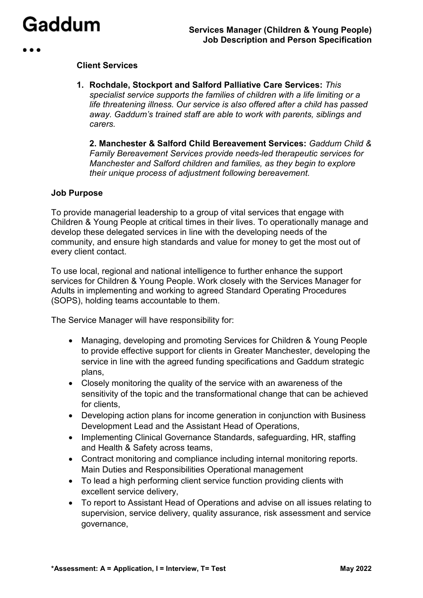#### **Client Services**

**1. Rochdale, Stockport and Salford Palliative Care Services:** *This specialist service supports the families of children with a life limiting or a life threatening illness. Our service is also offered after a child has passed away. Gaddum's trained staff are able to work with parents, siblings and carers.* 

**2. Manchester & Salford Child Bereavement Services:** *Gaddum Child & Family Bereavement Services provide needs-led therapeutic services for Manchester and Salford children and families, as they begin to explore their unique process of adjustment following bereavement.* 

#### **Job Purpose**

To provide managerial leadership to a group of vital services that engage with Children & Young People at critical times in their lives. To operationally manage and develop these delegated services in line with the developing needs of the community, and ensure high standards and value for money to get the most out of every client contact.

To use local, regional and national intelligence to further enhance the support services for Children & Young People. Work closely with the Services Manager for Adults in implementing and working to agreed Standard Operating Procedures (SOPS), holding teams accountable to them.

The Service Manager will have responsibility for:

- Managing, developing and promoting Services for Children & Young People to provide effective support for clients in Greater Manchester, developing the service in line with the agreed funding specifications and Gaddum strategic plans,
- Closely monitoring the quality of the service with an awareness of the sensitivity of the topic and the transformational change that can be achieved for clients,
- Developing action plans for income generation in conjunction with Business Development Lead and the Assistant Head of Operations,
- Implementing Clinical Governance Standards, safeguarding, HR, staffing and Health & Safety across teams,
- Contract monitoring and compliance including internal monitoring reports. Main Duties and Responsibilities Operational management
- To lead a high performing client service function providing clients with excellent service delivery,
- To report to Assistant Head of Operations and advise on all issues relating to supervision, service delivery, quality assurance, risk assessment and service governance,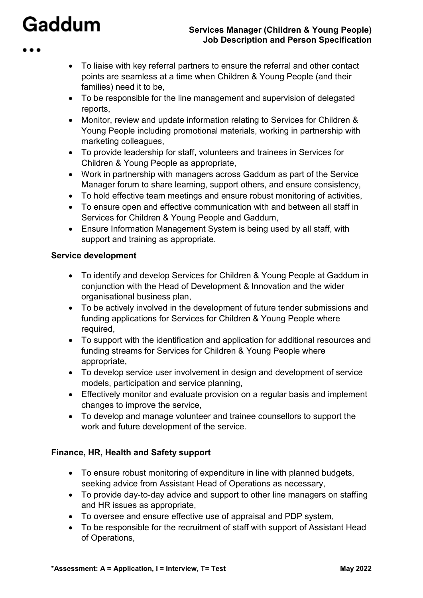#### **Services Manager (Children & Young People) Job Description and Person Specification**

- To liaise with key referral partners to ensure the referral and other contact points are seamless at a time when Children & Young People (and their families) need it to be,
- To be responsible for the line management and supervision of delegated reports,
- Monitor, review and update information relating to Services for Children & Young People including promotional materials, working in partnership with marketing colleagues,
- To provide leadership for staff, volunteers and trainees in Services for Children & Young People as appropriate,
- Work in partnership with managers across Gaddum as part of the Service Manager forum to share learning, support others, and ensure consistency,
- To hold effective team meetings and ensure robust monitoring of activities,
- To ensure open and effective communication with and between all staff in Services for Children & Young People and Gaddum,
- Ensure Information Management System is being used by all staff, with support and training as appropriate.

#### **Service development**

- To identify and develop Services for Children & Young People at Gaddum in conjunction with the Head of Development & Innovation and the wider organisational business plan,
- To be actively involved in the development of future tender submissions and funding applications for Services for Children & Young People where required,
- To support with the identification and application for additional resources and funding streams for Services for Children & Young People where appropriate,
- To develop service user involvement in design and development of service models, participation and service planning,
- Effectively monitor and evaluate provision on a regular basis and implement changes to improve the service,
- To develop and manage volunteer and trainee counsellors to support the work and future development of the service.

#### **Finance, HR, Health and Safety support**

- To ensure robust monitoring of expenditure in line with planned budgets, seeking advice from Assistant Head of Operations as necessary,
- To provide day-to-day advice and support to other line managers on staffing and HR issues as appropriate,
- To oversee and ensure effective use of appraisal and PDP system,
- To be responsible for the recruitment of staff with support of Assistant Head of Operations,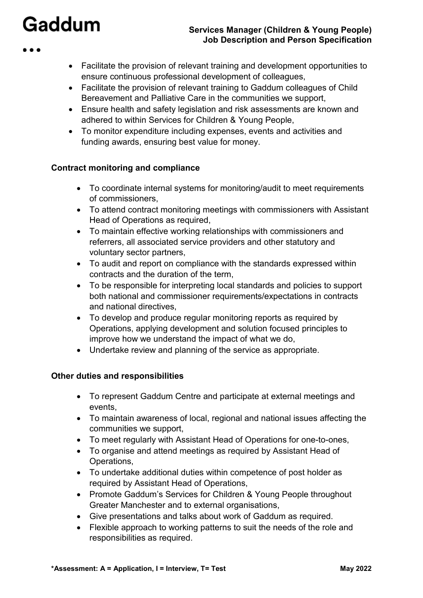#### **Services Manager (Children & Young People) Job Description and Person Specification**

- Facilitate the provision of relevant training and development opportunities to ensure continuous professional development of colleagues,
- Facilitate the provision of relevant training to Gaddum colleagues of Child Bereavement and Palliative Care in the communities we support,
- Ensure health and safety legislation and risk assessments are known and adhered to within Services for Children & Young People,
- To monitor expenditure including expenses, events and activities and funding awards, ensuring best value for money.

#### **Contract monitoring and compliance**

- To coordinate internal systems for monitoring/audit to meet requirements of commissioners,
- To attend contract monitoring meetings with commissioners with Assistant Head of Operations as required,
- To maintain effective working relationships with commissioners and referrers, all associated service providers and other statutory and voluntary sector partners,
- To audit and report on compliance with the standards expressed within contracts and the duration of the term,
- To be responsible for interpreting local standards and policies to support both national and commissioner requirements/expectations in contracts and national directives,
- To develop and produce regular monitoring reports as required by Operations, applying development and solution focused principles to improve how we understand the impact of what we do,
- Undertake review and planning of the service as appropriate.

#### **Other duties and responsibilities**

- To represent Gaddum Centre and participate at external meetings and events,
- To maintain awareness of local, regional and national issues affecting the communities we support,
- To meet regularly with Assistant Head of Operations for one-to-ones,
- To organise and attend meetings as required by Assistant Head of Operations,
- To undertake additional duties within competence of post holder as required by Assistant Head of Operations,
- Promote Gaddum's Services for Children & Young People throughout Greater Manchester and to external organisations,
- Give presentations and talks about work of Gaddum as required.
- Flexible approach to working patterns to suit the needs of the role and responsibilities as required.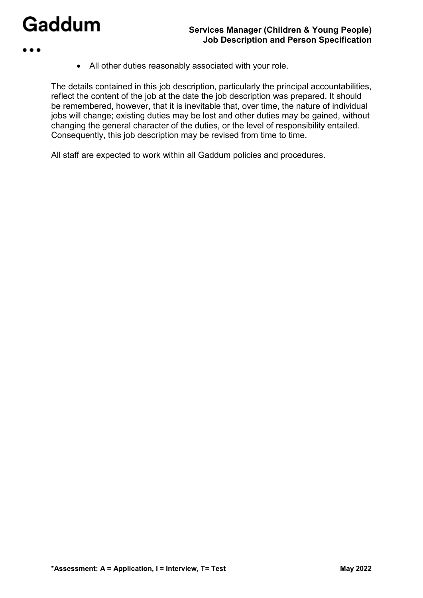- 
- All other duties reasonably associated with your role.

The details contained in this job description, particularly the principal accountabilities, reflect the content of the job at the date the job description was prepared. It should be remembered, however, that it is inevitable that, over time, the nature of individual jobs will change; existing duties may be lost and other duties may be gained, without changing the general character of the duties, or the level of responsibility entailed. Consequently, this job description may be revised from time to time.

All staff are expected to work within all Gaddum policies and procedures.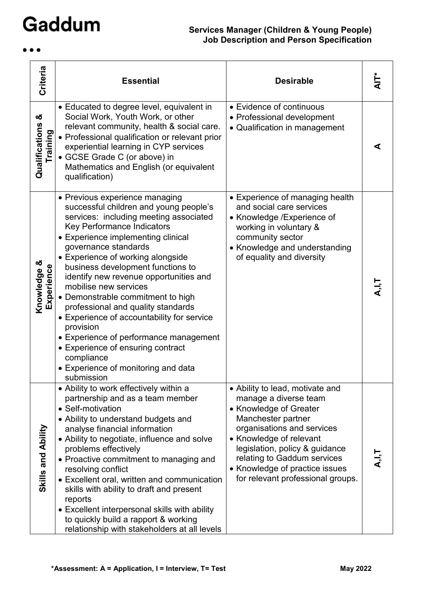$\bullet\bullet\bullet$ 

### **Services Manager (Children & Young People) Job Description and Person Specification**

| Criteria                        | <b>Essential</b>                                                                                                                                                                                                                                                                                                                                                                                                                                                                                                                                                                                                                                    | <b>Desirable</b>                                                                                                                                                                                                                                                                                          | ।<br>द |
|---------------------------------|-----------------------------------------------------------------------------------------------------------------------------------------------------------------------------------------------------------------------------------------------------------------------------------------------------------------------------------------------------------------------------------------------------------------------------------------------------------------------------------------------------------------------------------------------------------------------------------------------------------------------------------------------------|-----------------------------------------------------------------------------------------------------------------------------------------------------------------------------------------------------------------------------------------------------------------------------------------------------------|--------|
| ఱ<br>Qualifications<br>Training | • Educated to degree level, equivalent in<br>Social Work, Youth Work, or other<br>relevant community, health & social care.<br>• Professional qualification or relevant prior<br>experiential learning in CYP services<br>• GCSE Grade C (or above) in<br>Mathematics and English (or equivalent<br>qualification)                                                                                                                                                                                                                                                                                                                                  | • Evidence of continuous<br>• Professional development<br>• Qualification in management                                                                                                                                                                                                                   | ⋖      |
| Knowledge &<br>Experience       | • Previous experience managing<br>successful children and young people's<br>services: including meeting associated<br>Key Performance Indicators<br>• Experience implementing clinical<br>governance standards<br>• Experience of working alongside<br>business development functions to<br>identify new revenue opportunities and<br>mobilise new services<br>• Demonstrable commitment to high<br>professional and quality standards<br>• Experience of accountability for service<br>provision<br>• Experience of performance management<br>• Experience of ensuring contract<br>compliance<br>• Experience of monitoring and data<br>submission | • Experience of managing health<br>and social care services<br>• Knowledge / Experience of<br>working in voluntary &<br>community sector<br>• Knowledge and understanding<br>of equality and diversity                                                                                                    |        |
| Skills and Ability              | • Ability to work effectively within a<br>partnership and as a team member<br>• Self-motivation<br>• Ability to understand budgets and<br>analyse financial information<br>• Ability to negotiate, influence and solve<br>problems effectively<br>• Proactive commitment to managing and<br>resolving conflict<br>• Excellent oral, written and communication<br>skills with ability to draft and present<br>reports<br>• Excellent interpersonal skills with ability<br>to quickly build a rapport & working<br>relationship with stakeholders at all levels                                                                                       | • Ability to lead, motivate and<br>manage a diverse team<br>• Knowledge of Greater<br>Manchester partner<br>organisations and services<br>• Knowledge of relevant<br>legislation, policy & guidance<br>relating to Gaddum services<br>• Knowledge of practice issues<br>for relevant professional groups. |        |